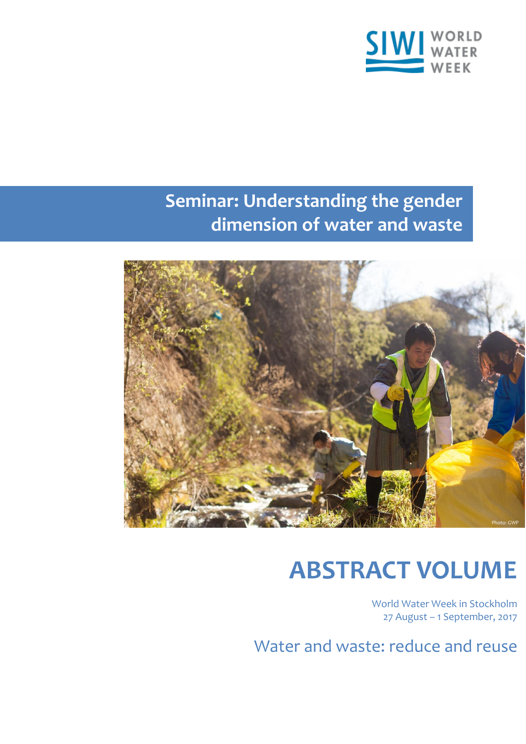

# **Seminar: Understanding the gender dimension of water and waste**



# **ABSTRACT VOLUME**

World Water Week in Stockholm 27 August – 1 September, 2017

Water and waste: reduce and reuse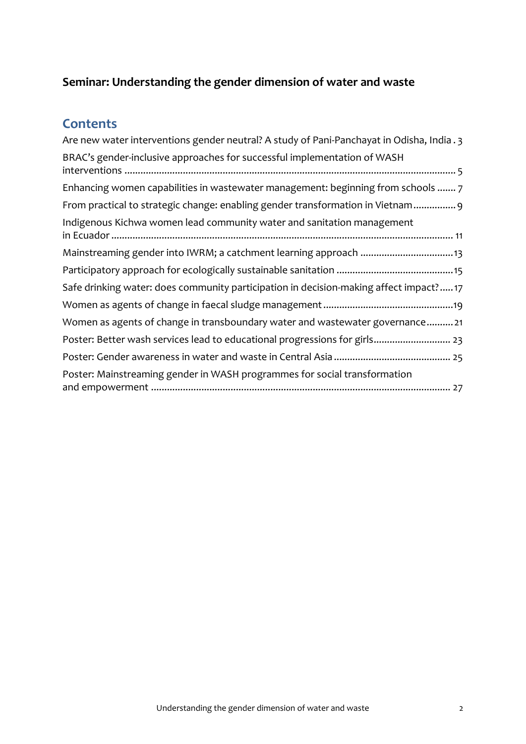# **Seminar: Understanding the gender dimension of water and waste**

# **Contents**

| Are new water interventions gender neutral? A study of Pani-Panchayat in Odisha, India . 3 |
|--------------------------------------------------------------------------------------------|
| BRAC's gender-inclusive approaches for successful implementation of WASH                   |
| Enhancing women capabilities in wastewater management: beginning from schools  7           |
| From practical to strategic change: enabling gender transformation in Vietnam 9            |
| Indigenous Kichwa women lead community water and sanitation management                     |
| Mainstreaming gender into IWRM; a catchment learning approach 13                           |
|                                                                                            |
| Safe drinking water: does community participation in decision-making affect impact?17      |
|                                                                                            |
| Women as agents of change in transboundary water and wastewater governance21               |
| Poster: Better wash services lead to educational progressions for girls 23                 |
|                                                                                            |
| Poster: Mainstreaming gender in WASH programmes for social transformation                  |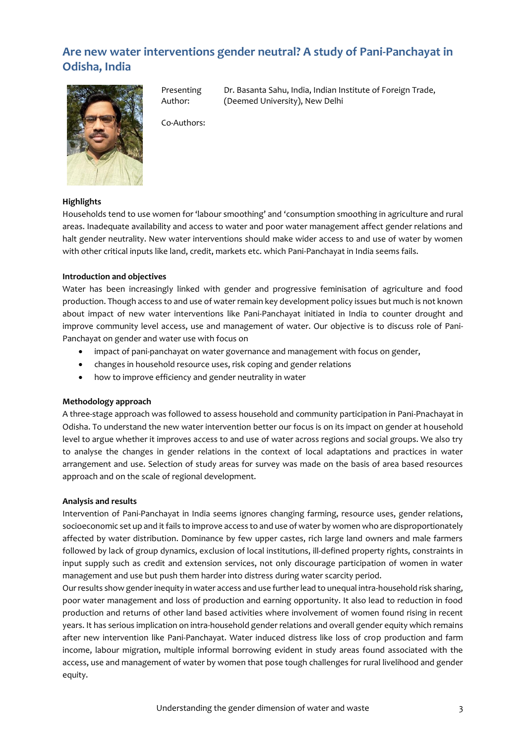# <span id="page-2-0"></span>**Are new water interventions gender neutral? A study of Pani-Panchayat in Odisha, India**



Presenting Author:

Dr. Basanta Sahu, India, Indian Institute of Foreign Trade, (Deemed University), New Delhi

Co-Authors:

#### **Highlights**

Households tend to use women for 'labour smoothing' and 'consumption smoothing in agriculture and rural areas. Inadequate availability and access to water and poor water management affect gender relations and halt gender neutrality. New water interventions should make wider access to and use of water by women with other critical inputs like land, credit, markets etc. which Pani-Panchayat in India seems fails.

#### **Introduction and objectives**

Water has been increasingly linked with gender and progressive feminisation of agriculture and food production. Though access to and use of water remain key development policy issues but much is not known about impact of new water interventions like Pani-Panchayat initiated in India to counter drought and improve community level access, use and management of water. Our objective is to discuss role of Pani-Panchayat on gender and water use with focus on

- impact of pani-panchayat on water governance and management with focus on gender,
- changes in household resource uses, risk coping and gender relations
- how to improve efficiency and gender neutrality in water

#### **Methodology approach**

A three-stage approach was followed to assess household and community participation in Pani-Pnachayat in Odisha. To understand the new water intervention better our focus is on its impact on gender at household level to argue whether it improves access to and use of water across regions and social groups. We also try to analyse the changes in gender relations in the context of local adaptations and practices in water arrangement and use. Selection of study areas for survey was made on the basis of area based resources approach and on the scale of regional development.

#### **Analysis and results**

Intervention of Pani-Panchayat in India seems ignores changing farming, resource uses, gender relations, socioeconomic set up and it fails to improve access to and use of water by women who are disproportionately affected by water distribution. Dominance by few upper castes, rich large land owners and male farmers followed by lack of group dynamics, exclusion of local institutions, ill-defined property rights, constraints in input supply such as credit and extension services, not only discourage participation of women in water management and use but push them harder into distress during water scarcity period.

Our results show gender inequity in water access and use further lead to unequal intra-household risk sharing, poor water management and loss of production and earning opportunity. It also lead to reduction in food production and returns of other land based activities where involvement of women found rising in recent years. It has serious implication on intra-household gender relations and overall gender equity which remains after new intervention like Pani-Panchayat. Water induced distress like loss of crop production and farm income, labour migration, multiple informal borrowing evident in study areas found associated with the access, use and management of water by women that pose tough challenges for rural livelihood and gender equity.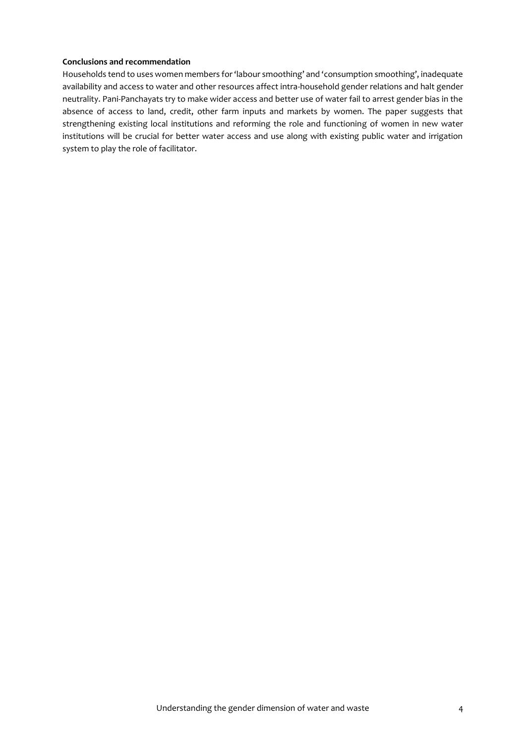Households tend to uses women members for 'labour smoothing' and 'consumption smoothing', inadequate availability and access to water and other resources affect intra-household gender relations and halt gender neutrality. Pani-Panchayats try to make wider access and better use of water fail to arrest gender bias in the absence of access to land, credit, other farm inputs and markets by women. The paper suggests that strengthening existing local institutions and reforming the role and functioning of women in new water institutions will be crucial for better water access and use along with existing public water and irrigation system to play the role of facilitator.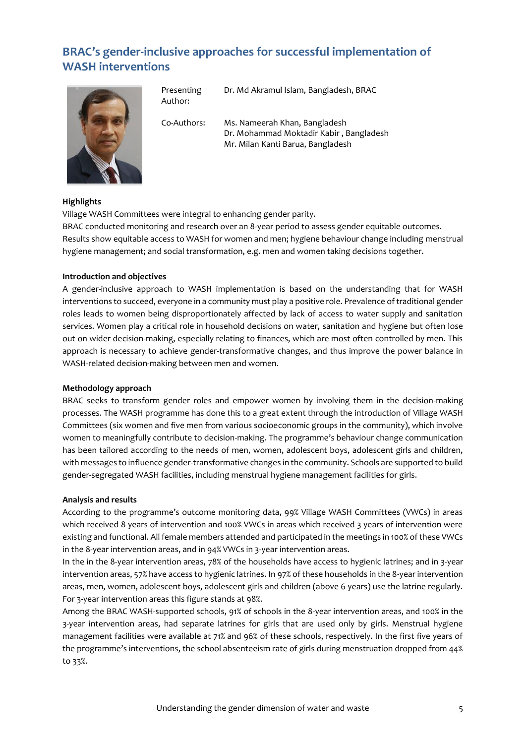# <span id="page-4-0"></span>**BRAC's gender-inclusive approaches for successful implementation of WASH interventions**



Presenting Author:

Dr. Md Akramul Islam, Bangladesh, BRAC

Co-Authors: Ms. Nameerah Khan, Bangladesh Dr. Mohammad Moktadir Kabir , Bangladesh Mr. Milan Kanti Barua, Bangladesh

#### **Highlights**

Village WASH Committees were integral to enhancing gender parity.

BRAC conducted monitoring and research over an 8-year period to assess gender equitable outcomes. Results show equitable access to WASH for women and men; hygiene behaviour change including menstrual hygiene management; and social transformation, e.g. men and women taking decisions together.

#### **Introduction and objectives**

A gender-inclusive approach to WASH implementation is based on the understanding that for WASH interventions to succeed, everyone in a community must play a positive role. Prevalence of traditional gender roles leads to women being disproportionately affected by lack of access to water supply and sanitation services. Women play a critical role in household decisions on water, sanitation and hygiene but often lose out on wider decision-making, especially relating to finances, which are most often controlled by men. This approach is necessary to achieve gender-transformative changes, and thus improve the power balance in WASH-related decision-making between men and women.

#### **Methodology approach**

BRAC seeks to transform gender roles and empower women by involving them in the decision-making processes. The WASH programme has done this to a great extent through the introduction of Village WASH Committees (six women and five men from various socioeconomic groups in the community), which involve women to meaningfully contribute to decision-making. The programme's behaviour change communication has been tailored according to the needs of men, women, adolescent boys, adolescent girls and children, with messages to influence gender-transformative changes in the community. Schools are supported to build gender-segregated WASH facilities, including menstrual hygiene management facilities for girls.

#### **Analysis and results**

According to the programme's outcome monitoring data, 99% Village WASH Committees (VWCs) in areas which received 8 years of intervention and 100% VWCs in areas which received 3 years of intervention were existing and functional. All female members attended and participated in the meetings in 100% of these VWCs in the 8-year intervention areas, and in 94% VWCs in 3-year intervention areas.

In the in the 8-year intervention areas, 78% of the households have access to hygienic latrines; and in 3-year intervention areas, 57% have access to hygienic latrines. In 97% of these households in the 8-year intervention areas, men, women, adolescent boys, adolescent girls and children (above 6 years) use the latrine regularly. For 3-year intervention areas this figure stands at 98%.

Among the BRAC WASH-supported schools, 91% of schools in the 8-year intervention areas, and 100% in the 3-year intervention areas, had separate latrines for girls that are used only by girls. Menstrual hygiene management facilities were available at 71% and 96% of these schools, respectively. In the first five years of the programme's interventions, the school absenteeism rate of girls during menstruation dropped from 44% to 33%.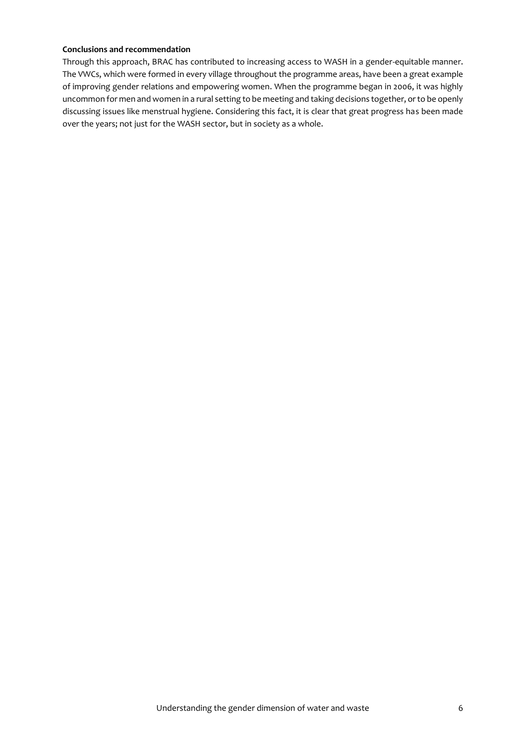Through this approach, BRAC has contributed to increasing access to WASH in a gender-equitable manner. The VWCs, which were formed in every village throughout the programme areas, have been a great example of improving gender relations and empowering women. When the programme began in 2006, it was highly uncommon for men and women in a rural setting to be meeting and taking decisions together, or to be openly discussing issues like menstrual hygiene. Considering this fact, it is clear that great progress has been made over the years; not just for the WASH sector, but in society as a whole.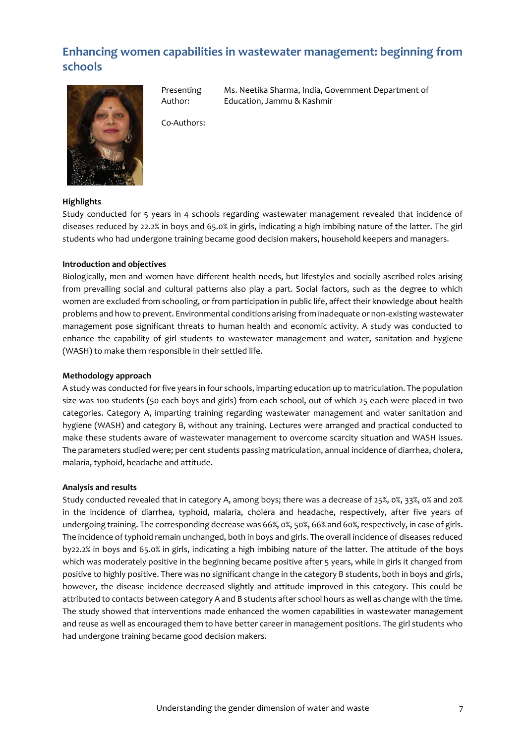# <span id="page-6-0"></span>**Enhancing women capabilities in wastewater management: beginning from schools**



Presenting Author:

Ms. Neetika Sharma, India, Government Department of Education, Jammu & Kashmir

Co-Authors:

#### **Highlights**

Study conducted for 5 years in 4 schools regarding wastewater management revealed that incidence of diseases reduced by 22.2% in boys and 65.0% in girls, indicating a high imbibing nature of the latter. The girl students who had undergone training became good decision makers, household keepers and managers.

#### **Introduction and objectives**

Biologically, men and women have different health needs, but lifestyles and socially ascribed roles arising from prevailing social and cultural patterns also play a part. Social factors, such as the degree to which women are excluded from schooling, or from participation in public life, affect their knowledge about health problems and how to prevent. Environmental conditions arising from inadequate or non-existing wastewater management pose significant threats to human health and economic activity. A study was conducted to enhance the capability of girl students to wastewater management and water, sanitation and hygiene (WASH) to make them responsible in their settled life.

#### **Methodology approach**

A study was conducted for five years in four schools, imparting education up to matriculation. The population size was 100 students (50 each boys and girls) from each school, out of which 25 each were placed in two categories. Category A, imparting training regarding wastewater management and water sanitation and hygiene (WASH) and category B, without any training. Lectures were arranged and practical conducted to make these students aware of wastewater management to overcome scarcity situation and WASH issues. The parameters studied were; per cent students passing matriculation, annual incidence of diarrhea, cholera, malaria, typhoid, headache and attitude.

#### **Analysis and results**

Study conducted revealed that in category A, among boys; there was a decrease of 25%, 0%, 33%, 0% and 20% in the incidence of diarrhea, typhoid, malaria, cholera and headache, respectively, after five years of undergoing training. The corresponding decrease was 66%, 0%, 50%, 66% and 60%, respectively, in case of girls. The incidence of typhoid remain unchanged, both in boys and girls. The overall incidence of diseases reduced by22.2% in boys and 65.0% in girls, indicating a high imbibing nature of the latter. The attitude of the boys which was moderately positive in the beginning became positive after 5 years, while in girls it changed from positive to highly positive. There was no significant change in the category B students, both in boys and girls, however, the disease incidence decreased slightly and attitude improved in this category. This could be attributed to contacts between category A and B students after school hours as well as change with the time. The study showed that interventions made enhanced the women capabilities in wastewater management and reuse as well as encouraged them to have better career in management positions. The girl students who had undergone training became good decision makers.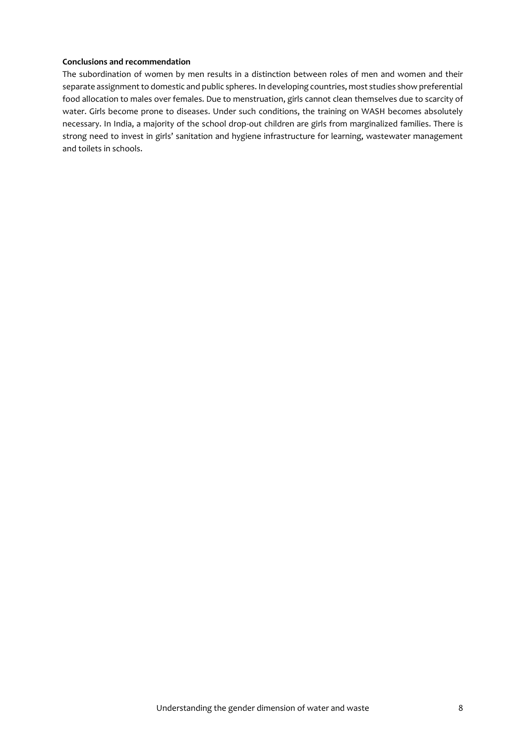The subordination of women by men results in a distinction between roles of men and women and their separate assignment to domestic and public spheres. In developing countries, most studies show preferential food allocation to males over females. Due to menstruation, girls cannot clean themselves due to scarcity of water. Girls become prone to diseases. Under such conditions, the training on WASH becomes absolutely necessary. In India, a majority of the school drop-out children are girls from marginalized families. There is strong need to invest in girls' sanitation and hygiene infrastructure for learning, wastewater management and toilets in schools.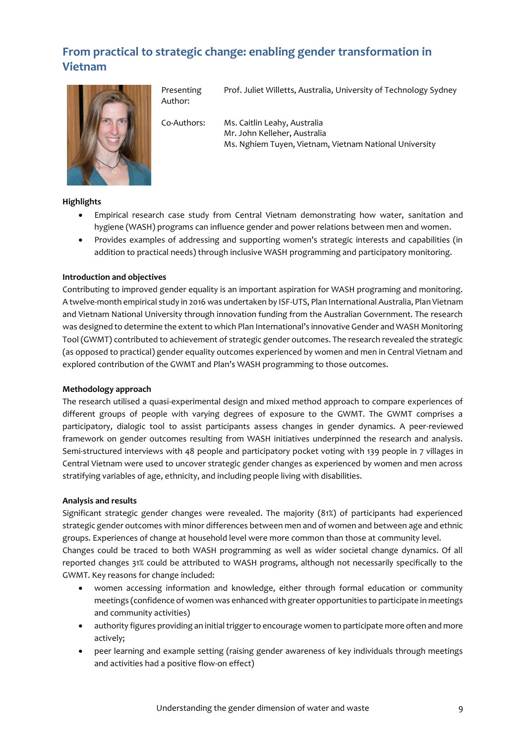# <span id="page-8-0"></span>**From practical to strategic change: enabling gender transformation in Vietnam**



Presenting Prof. Juliet Willetts, Australia, University of Technology Sydney

Author:

Co-Authors: Ms. Caitlin Leahy, Australia Mr. John Kelleher, Australia Ms. Nghiem Tuyen, Vietnam, Vietnam National University

#### **Highlights**

- Empirical research case study from Central Vietnam demonstrating how water, sanitation and hygiene (WASH) programs can influence gender and power relations between men and women.
- Provides examples of addressing and supporting women's strategic interests and capabilities (in addition to practical needs) through inclusive WASH programming and participatory monitoring.

#### **Introduction and objectives**

Contributing to improved gender equality is an important aspiration for WASH programing and monitoring. A twelve-month empirical study in 2016 was undertaken by ISF-UTS, Plan International Australia, Plan Vietnam and Vietnam National University through innovation funding from the Australian Government. The research was designed to determine the extent to which Plan International's innovative Gender and WASH Monitoring Tool (GWMT) contributed to achievement of strategic gender outcomes. The research revealed the strategic (as opposed to practical) gender equality outcomes experienced by women and men in Central Vietnam and explored contribution of the GWMT and Plan's WASH programming to those outcomes.

#### **Methodology approach**

The research utilised a quasi-experimental design and mixed method approach to compare experiences of different groups of people with varying degrees of exposure to the GWMT. The GWMT comprises a participatory, dialogic tool to assist participants assess changes in gender dynamics. A peer-reviewed framework on gender outcomes resulting from WASH initiatives underpinned the research and analysis. Semi-structured interviews with 48 people and participatory pocket voting with 139 people in 7 villages in Central Vietnam were used to uncover strategic gender changes as experienced by women and men across stratifying variables of age, ethnicity, and including people living with disabilities.

#### **Analysis and results**

Significant strategic gender changes were revealed. The majority (81%) of participants had experienced strategic gender outcomes with minor differences between men and of women and between age and ethnic groups. Experiences of change at household level were more common than those at community level. Changes could be traced to both WASH programming as well as wider societal change dynamics. Of all reported changes 31% could be attributed to WASH programs, although not necessarily specifically to the GWMT. Key reasons for change included:

- women accessing information and knowledge, either through formal education or community meetings (confidence of women was enhanced with greater opportunities to participate in meetings and community activities)
- authority figures providing an initial trigger to encourage women to participate more often and more actively;
- peer learning and example setting (raising gender awareness of key individuals through meetings and activities had a positive flow-on effect)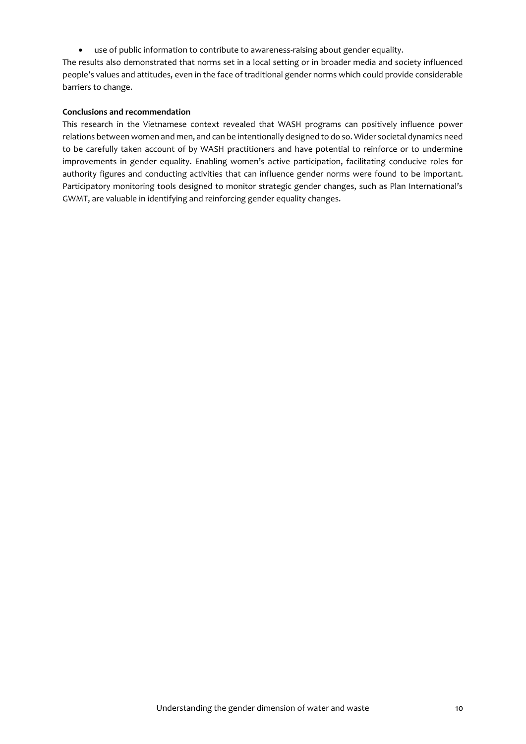use of public information to contribute to awareness-raising about gender equality.

The results also demonstrated that norms set in a local setting or in broader media and society influenced people's values and attitudes, even in the face of traditional gender norms which could provide considerable barriers to change.

#### **Conclusions and recommendation**

This research in the Vietnamese context revealed that WASH programs can positively influence power relations between women and men, and can be intentionally designed to do so. Wider societal dynamics need to be carefully taken account of by WASH practitioners and have potential to reinforce or to undermine improvements in gender equality. Enabling women's active participation, facilitating conducive roles for authority figures and conducting activities that can influence gender norms were found to be important. Participatory monitoring tools designed to monitor strategic gender changes, such as Plan International's GWMT, are valuable in identifying and reinforcing gender equality changes.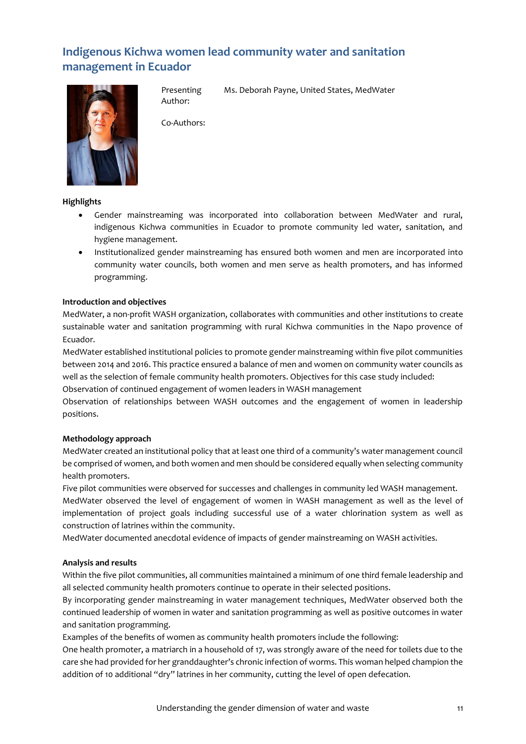# <span id="page-10-0"></span>**Indigenous Kichwa women lead community water and sanitation management in Ecuador**



Presenting Author:

Ms. Deborah Payne, United States, MedWater

Co-Authors:

#### **Highlights**

- Gender mainstreaming was incorporated into collaboration between MedWater and rural, indigenous Kichwa communities in Ecuador to promote community led water, sanitation, and hygiene management.
- Institutionalized gender mainstreaming has ensured both women and men are incorporated into community water councils, both women and men serve as health promoters, and has informed programming.

#### **Introduction and objectives**

MedWater, a non-profit WASH organization, collaborates with communities and other institutions to create sustainable water and sanitation programming with rural Kichwa communities in the Napo provence of Ecuador.

MedWater established institutional policies to promote gender mainstreaming within five pilot communities between 2014 and 2016. This practice ensured a balance of men and women on community water councils as well as the selection of female community health promoters. Objectives for this case study included:

Observation of continued engagement of women leaders in WASH management

Observation of relationships between WASH outcomes and the engagement of women in leadership positions.

#### **Methodology approach**

MedWater created an institutional policy that at least one third of a community's water management council be comprised of women, and both women and men should be considered equally when selecting community health promoters.

Five pilot communities were observed for successes and challenges in community led WASH management.

MedWater observed the level of engagement of women in WASH management as well as the level of implementation of project goals including successful use of a water chlorination system as well as construction of latrines within the community.

MedWater documented anecdotal evidence of impacts of gender mainstreaming on WASH activities.

#### **Analysis and results**

Within the five pilot communities, all communities maintained a minimum of one third female leadership and all selected community health promoters continue to operate in their selected positions.

By incorporating gender mainstreaming in water management techniques, MedWater observed both the continued leadership of women in water and sanitation programming as well as positive outcomes in water and sanitation programming.

Examples of the benefits of women as community health promoters include the following:

One health promoter, a matriarch in a household of 17, was strongly aware of the need for toilets due to the care she had provided for her granddaughter's chronic infection of worms. This woman helped champion the addition of 10 additional "dry" latrines in her community, cutting the level of open defecation.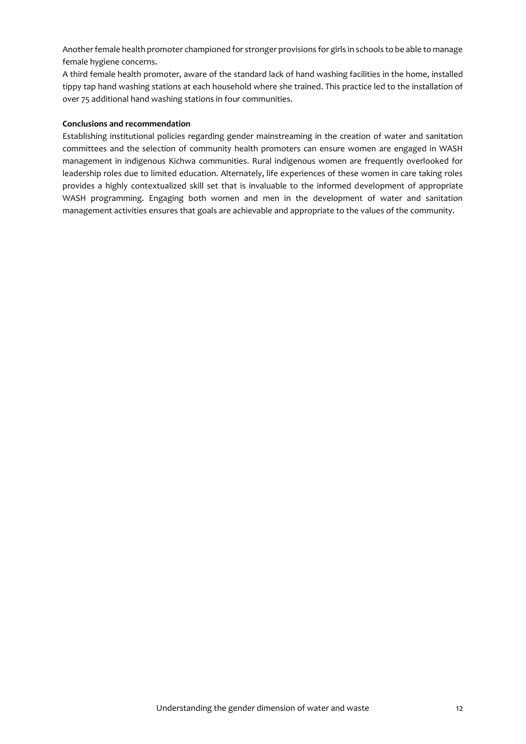Another female health promoter championed for stronger provisions for girls in schools to be able to manage female hygiene concerns.

A third female health promoter, aware of the standard lack of hand washing facilities in the home, installed tippy tap hand washing stations at each household where she trained. This practice led to the installation of over 75 additional hand washing stations in four communities.

#### **Conclusions and recommendation**

Establishing institutional policies regarding gender mainstreaming in the creation of water and sanitation committees and the selection of community health promoters can ensure women are engaged in WASH management in indigenous Kichwa communities. Rural indigenous women are frequently overlooked for leadership roles due to limited education. Alternately, life experiences of these women in care taking roles provides a highly contextualized skill set that is invaluable to the informed development of appropriate WASH programming. Engaging both women and men in the development of water and sanitation management activities ensures that goals are achievable and appropriate to the values of the community.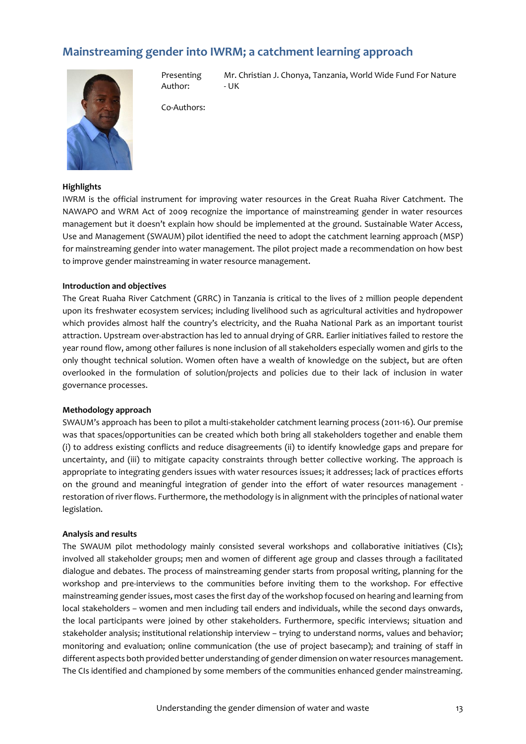## <span id="page-12-0"></span>**Mainstreaming gender into IWRM; a catchment learning approach**



Presenting Author:

Mr. Christian J. Chonya, Tanzania, World Wide Fund For Nature - UK

Co-Authors:

#### **Highlights**

IWRM is the official instrument for improving water resources in the Great Ruaha River Catchment. The NAWAPO and WRM Act of 2009 recognize the importance of mainstreaming gender in water resources management but it doesn't explain how should be implemented at the ground. Sustainable Water Access, Use and Management (SWAUM) pilot identified the need to adopt the catchment learning approach (MSP) for mainstreaming gender into water management. The pilot project made a recommendation on how best to improve gender mainstreaming in water resource management.

#### **Introduction and objectives**

The Great Ruaha River Catchment (GRRC) in Tanzania is critical to the lives of 2 million people dependent upon its freshwater ecosystem services; including livelihood such as agricultural activities and hydropower which provides almost half the country's electricity, and the Ruaha National Park as an important tourist attraction. Upstream over-abstraction has led to annual drying of GRR. Earlier initiatives failed to restore the year round flow, among other failures is none inclusion of all stakeholders especially women and girls to the only thought technical solution. Women often have a wealth of knowledge on the subject, but are often overlooked in the formulation of solution/projects and policies due to their lack of inclusion in water governance processes.

#### **Methodology approach**

SWAUM's approach has been to pilot a multi-stakeholder catchment learning process (2011-16). Our premise was that spaces/opportunities can be created which both bring all stakeholders together and enable them (i) to address existing conflicts and reduce disagreements (ii) to identify knowledge gaps and prepare for uncertainty, and (iii) to mitigate capacity constraints through better collective working. The approach is appropriate to integrating genders issues with water resources issues; it addresses; lack of practices efforts on the ground and meaningful integration of gender into the effort of water resources management restoration of river flows. Furthermore, the methodology is in alignment with the principles of national water legislation.

#### **Analysis and results**

The SWAUM pilot methodology mainly consisted several workshops and collaborative initiatives (CIs); involved all stakeholder groups; men and women of different age group and classes through a facilitated dialogue and debates. The process of mainstreaming gender starts from proposal writing, planning for the workshop and pre-interviews to the communities before inviting them to the workshop. For effective mainstreaming gender issues, most cases the first day of the workshop focused on hearing and learning from local stakeholders – women and men including tail enders and individuals, while the second days onwards, the local participants were joined by other stakeholders. Furthermore, specific interviews; situation and stakeholder analysis; institutional relationship interview – trying to understand norms, values and behavior; monitoring and evaluation; online communication (the use of project basecamp); and training of staff in different aspects both provided better understanding of gender dimension on water resources management. The CIs identified and championed by some members of the communities enhanced gender mainstreaming.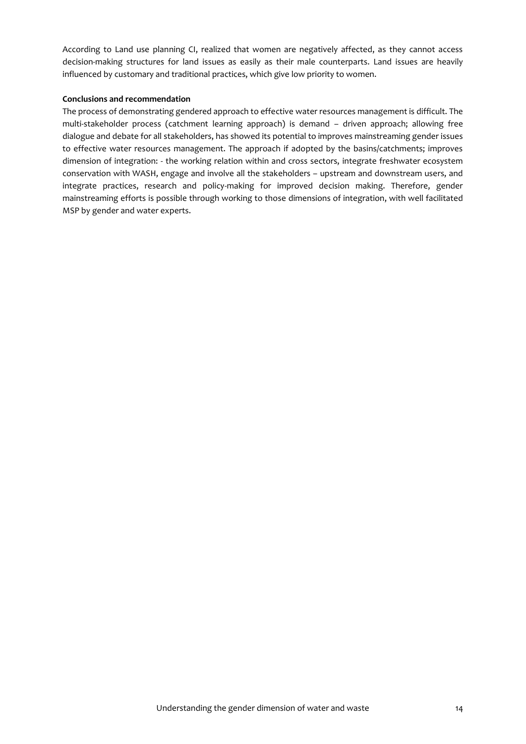According to Land use planning CI, realized that women are negatively affected, as they cannot access decision-making structures for land issues as easily as their male counterparts. Land issues are heavily influenced by customary and traditional practices, which give low priority to women.

#### **Conclusions and recommendation**

The process of demonstrating gendered approach to effective water resources management is difficult. The multi-stakeholder process (catchment learning approach) is demand – driven approach; allowing free dialogue and debate for all stakeholders, has showed its potential to improves mainstreaming gender issues to effective water resources management. The approach if adopted by the basins/catchments; improves dimension of integration: - the working relation within and cross sectors, integrate freshwater ecosystem conservation with WASH, engage and involve all the stakeholders – upstream and downstream users, and integrate practices, research and policy-making for improved decision making. Therefore, gender mainstreaming efforts is possible through working to those dimensions of integration, with well facilitated MSP by gender and water experts.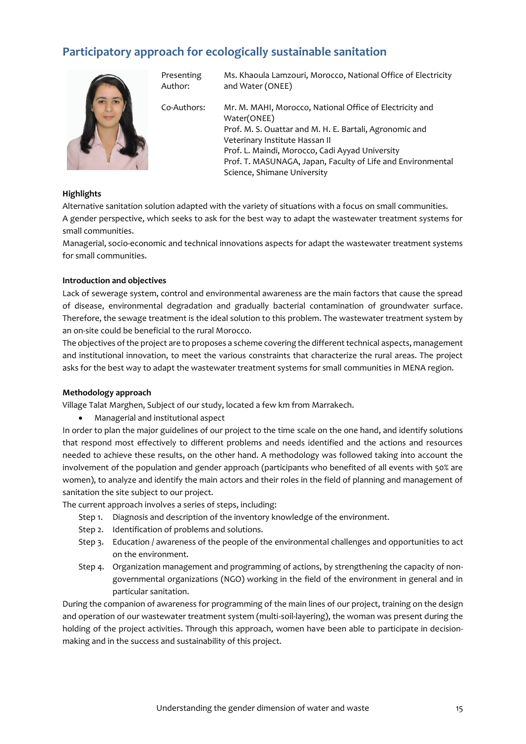# <span id="page-14-0"></span>**Participatory approach for ecologically sustainable sanitation**



Presenting Author:

Ms. Khaoula Lamzouri, Morocco, National Office of Electricity and Water (ONEE)

Co-Authors: Mr. M. MAHI, Morocco, National Office of Electricity and Water(ONEE) Prof. M. S. Ouattar and M. H. E. Bartali, Agronomic and Veterinary Institute Hassan II Prof. L. Maindi, Morocco, Cadi Ayyad University Prof. T. MASUNAGA, Japan, Faculty of Life and Environmental Science, Shimane University

#### **Highlights**

Alternative sanitation solution adapted with the variety of situations with a focus on small communities. A gender perspective, which seeks to ask for the best way to adapt the wastewater treatment systems for small communities.

Managerial, socio-economic and technical innovations aspects for adapt the wastewater treatment systems for small communities.

#### **Introduction and objectives**

Lack of sewerage system, control and environmental awareness are the main factors that cause the spread of disease, environmental degradation and gradually bacterial contamination of groundwater surface. Therefore, the sewage treatment is the ideal solution to this problem. The wastewater treatment system by an on-site could be beneficial to the rural Morocco.

The objectives of the project are to proposes a scheme covering the different technical aspects, management and institutional innovation, to meet the various constraints that characterize the rural areas. The project asks for the best way to adapt the wastewater treatment systems for small communities in MENA region.

#### **Methodology approach**

Village Talat Marghen, Subject of our study, located a few km from Marrakech.

Managerial and institutional aspect

In order to plan the major guidelines of our project to the time scale on the one hand, and identify solutions that respond most effectively to different problems and needs identified and the actions and resources needed to achieve these results, on the other hand. A methodology was followed taking into account the involvement of the population and gender approach (participants who benefited of all events with 50% are women), to analyze and identify the main actors and their roles in the field of planning and management of sanitation the site subject to our project.

The current approach involves a series of steps, including:

- Step 1. Diagnosis and description of the inventory knowledge of the environment.
- Step 2. Identification of problems and solutions.
- Step 3. Education / awareness of the people of the environmental challenges and opportunities to act on the environment.
- Step 4. Organization management and programming of actions, by strengthening the capacity of nongovernmental organizations (NGO) working in the field of the environment in general and in particular sanitation.

During the companion of awareness for programming of the main lines of our project, training on the design and operation of our wastewater treatment system (multi-soil-layering), the woman was present during the holding of the project activities. Through this approach, women have been able to participate in decisionmaking and in the success and sustainability of this project.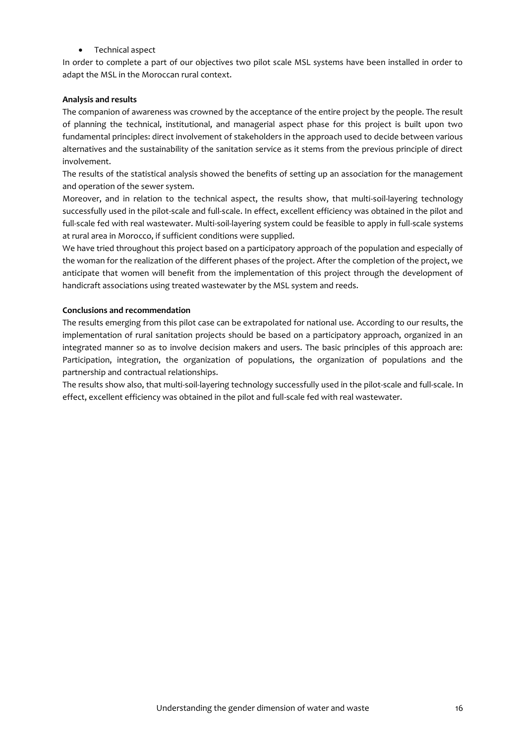Technical aspect

In order to complete a part of our objectives two pilot scale MSL systems have been installed in order to adapt the MSL in the Moroccan rural context.

#### **Analysis and results**

The companion of awareness was crowned by the acceptance of the entire project by the people. The result of planning the technical, institutional, and managerial aspect phase for this project is built upon two fundamental principles: direct involvement of stakeholders in the approach used to decide between various alternatives and the sustainability of the sanitation service as it stems from the previous principle of direct involvement.

The results of the statistical analysis showed the benefits of setting up an association for the management and operation of the sewer system.

Moreover, and in relation to the technical aspect, the results show, that multi-soil-layering technology successfully used in the pilot-scale and full-scale. In effect, excellent efficiency was obtained in the pilot and full-scale fed with real wastewater. Multi-soil-layering system could be feasible to apply in full-scale systems at rural area in Morocco, if sufficient conditions were supplied.

We have tried throughout this project based on a participatory approach of the population and especially of the woman for the realization of the different phases of the project. After the completion of the project, we anticipate that women will benefit from the implementation of this project through the development of handicraft associations using treated wastewater by the MSL system and reeds.

#### **Conclusions and recommendation**

The results emerging from this pilot case can be extrapolated for national use. According to our results, the implementation of rural sanitation projects should be based on a participatory approach, organized in an integrated manner so as to involve decision makers and users. The basic principles of this approach are: Participation, integration, the organization of populations, the organization of populations and the partnership and contractual relationships.

The results show also, that multi-soil-layering technology successfully used in the pilot-scale and full-scale. In effect, excellent efficiency was obtained in the pilot and full-scale fed with real wastewater.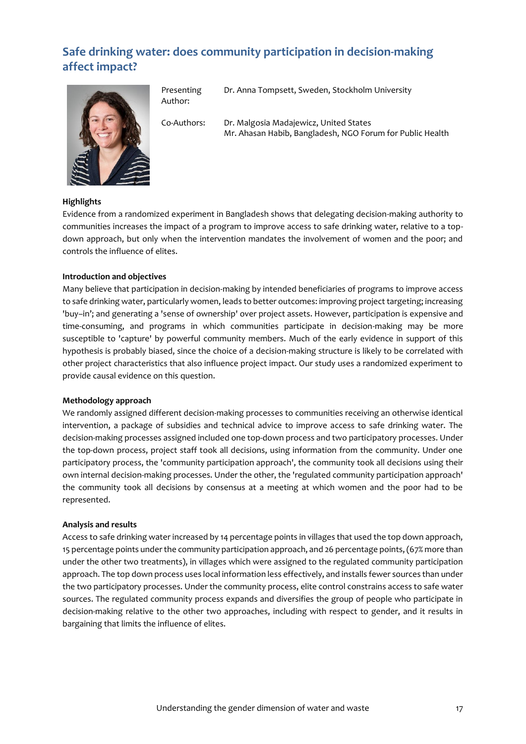# <span id="page-16-0"></span>**Safe drinking water: does community participation in decision-making affect impact?**



Presenting Author:

Dr. Anna Tompsett, Sweden, Stockholm University

Co-Authors: Dr. Malgosia Madajewicz, United States Mr. Ahasan Habib, Bangladesh, NGO Forum for Public Health

#### **Highlights**

Evidence from a randomized experiment in Bangladesh shows that delegating decision-making authority to communities increases the impact of a program to improve access to safe drinking water, relative to a topdown approach, but only when the intervention mandates the involvement of women and the poor; and controls the influence of elites.

#### **Introduction and objectives**

Many believe that participation in decision-making by intended beneficiaries of programs to improve access to safe drinking water, particularly women, leads to better outcomes: improving project targeting; increasing 'buy–in'; and generating a 'sense of ownership' over project assets. However, participation is expensive and time-consuming, and programs in which communities participate in decision-making may be more susceptible to 'capture' by powerful community members. Much of the early evidence in support of this hypothesis is probably biased, since the choice of a decision-making structure is likely to be correlated with other project characteristics that also influence project impact. Our study uses a randomized experiment to provide causal evidence on this question.

#### **Methodology approach**

We randomly assigned different decision-making processes to communities receiving an otherwise identical intervention, a package of subsidies and technical advice to improve access to safe drinking water. The decision-making processes assigned included one top-down process and two participatory processes. Under the top-down process, project staff took all decisions, using information from the community. Under one participatory process, the 'community participation approach', the community took all decisions using their own internal decision-making processes. Under the other, the 'regulated community participation approach' the community took all decisions by consensus at a meeting at which women and the poor had to be represented.

#### **Analysis and results**

Access to safe drinking water increased by 14 percentage points in villages that used the top down approach, 15 percentage points under the community participation approach, and 26 percentage points, (67% more than under the other two treatments), in villages which were assigned to the regulated community participation approach. The top down process uses local information less effectively, and installs fewer sources than under the two participatory processes. Under the community process, elite control constrains access to safe water sources. The regulated community process expands and diversifies the group of people who participate in decision-making relative to the other two approaches, including with respect to gender, and it results in bargaining that limits the influence of elites.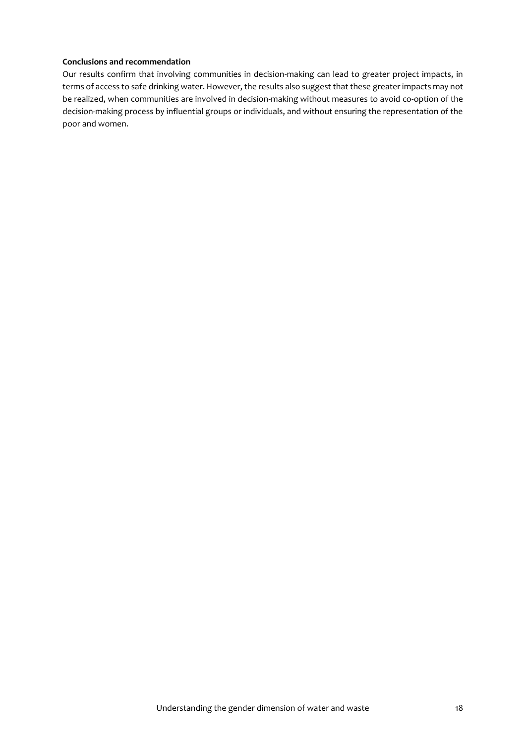Our results confirm that involving communities in decision-making can lead to greater project impacts, in terms of access to safe drinking water. However, the results also suggest that these greater impacts may not be realized, when communities are involved in decision-making without measures to avoid co-option of the decision-making process by influential groups or individuals, and without ensuring the representation of the poor and women.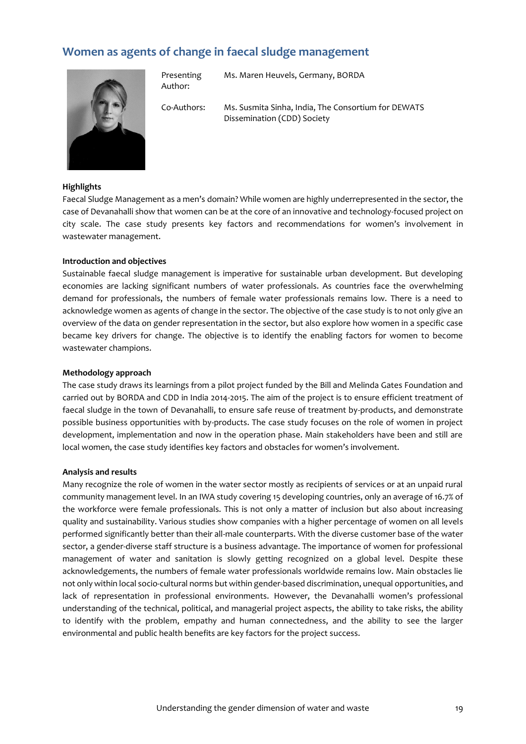### <span id="page-18-0"></span>**Women as agents of change in faecal sludge management**



Presenting Author:

Ms. Maren Heuvels, Germany, BORDA

Co-Authors: Ms. Susmita Sinha, India, The Consortium for DEWATS Dissemination (CDD) Society

#### **Highlights**

Faecal Sludge Management as a men's domain? While women are highly underrepresented in the sector, the case of Devanahalli show that women can be at the core of an innovative and technology-focused project on city scale. The case study presents key factors and recommendations for women's involvement in wastewater management.

#### **Introduction and objectives**

Sustainable faecal sludge management is imperative for sustainable urban development. But developing economies are lacking significant numbers of water professionals. As countries face the overwhelming demand for professionals, the numbers of female water professionals remains low. There is a need to acknowledge women as agents of change in the sector. The objective of the case study is to not only give an overview of the data on gender representation in the sector, but also explore how women in a specific case became key drivers for change. The objective is to identify the enabling factors for women to become wastewater champions.

#### **Methodology approach**

The case study draws its learnings from a pilot project funded by the Bill and Melinda Gates Foundation and carried out by BORDA and CDD in India 2014-2015. The aim of the project is to ensure efficient treatment of faecal sludge in the town of Devanahalli, to ensure safe reuse of treatment by-products, and demonstrate possible business opportunities with by-products. The case study focuses on the role of women in project development, implementation and now in the operation phase. Main stakeholders have been and still are local women, the case study identifies key factors and obstacles for women's involvement.

#### **Analysis and results**

Many recognize the role of women in the water sector mostly as recipients of services or at an unpaid rural community management level. In an IWA study covering 15 developing countries, only an average of 16.7% of the workforce were female professionals. This is not only a matter of inclusion but also about increasing quality and sustainability. Various studies show companies with a higher percentage of women on all levels performed significantly better than their all-male counterparts. With the diverse customer base of the water sector, a gender-diverse staff structure is a business advantage. The importance of women for professional management of water and sanitation is slowly getting recognized on a global level. Despite these acknowledgements, the numbers of female water professionals worldwide remains low. Main obstacles lie not only within local socio-cultural norms but within gender-based discrimination, unequal opportunities, and lack of representation in professional environments. However, the Devanahalli women's professional understanding of the technical, political, and managerial project aspects, the ability to take risks, the ability to identify with the problem, empathy and human connectedness, and the ability to see the larger environmental and public health benefits are key factors for the project success.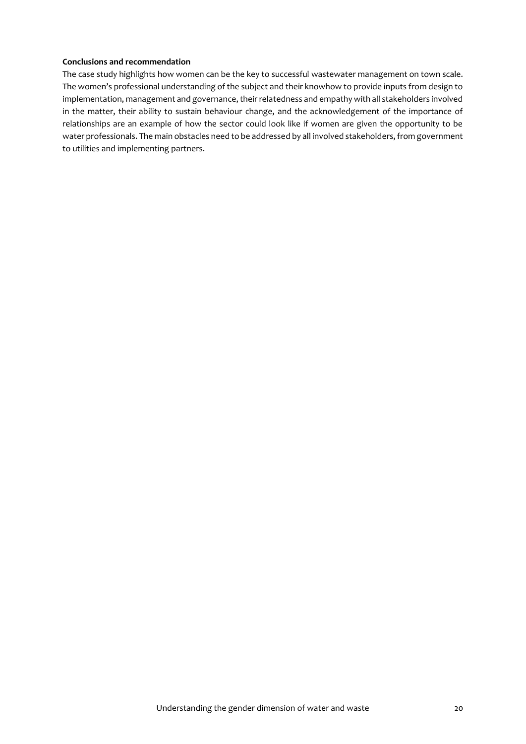The case study highlights how women can be the key to successful wastewater management on town scale. The women's professional understanding of the subject and their knowhow to provide inputs from design to implementation, management and governance, their relatedness and empathy with all stakeholders involved in the matter, their ability to sustain behaviour change, and the acknowledgement of the importance of relationships are an example of how the sector could look like if women are given the opportunity to be water professionals. The main obstacles need to be addressed by all involved stakeholders, from government to utilities and implementing partners.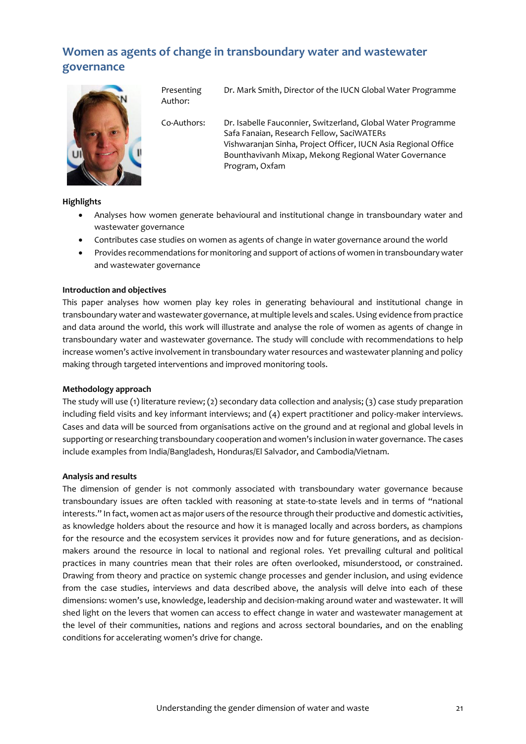# <span id="page-20-0"></span>**Women as agents of change in transboundary water and wastewater governance**



Presenting Author:

Dr. Mark Smith, Director of the IUCN Global Water Programme

Co-Authors: Dr. Isabelle Fauconnier, Switzerland, Global Water Programme Safa Fanaian, Research Fellow, SaciWATERs Vishwaranjan Sinha, Project Officer, IUCN Asia Regional Office Bounthavivanh Mixap, Mekong Regional Water Governance Program, Oxfam

**Highlights**

- Analyses how women generate behavioural and institutional change in transboundary water and wastewater governance
- Contributes case studies on women as agents of change in water governance around the world
- Provides recommendations for monitoring and support of actions of women in transboundary water and wastewater governance

#### **Introduction and objectives**

This paper analyses how women play key roles in generating behavioural and institutional change in transboundary water and wastewater governance, at multiple levels and scales.Using evidence from practice and data around the world, this work will illustrate and analyse the role of women as agents of change in transboundary water and wastewater governance. The study will conclude with recommendations to help increase women's active involvement in transboundary water resources and wastewater planning and policy making through targeted interventions and improved monitoring tools.

#### **Methodology approach**

The study will use (1) literature review; (2) secondary data collection and analysis; (3) case study preparation including field visits and key informant interviews; and (4) expert practitioner and policy-maker interviews. Cases and data will be sourced from organisations active on the ground and at regional and global levels in supporting or researching transboundary cooperation and women's inclusion in water governance. The cases include examples from India/Bangladesh, Honduras/El Salvador, and Cambodia/Vietnam.

#### **Analysis and results**

The dimension of gender is not commonly associated with transboundary water governance because transboundary issues are often tackled with reasoning at state-to-state levels and in terms of "national interests." In fact, women act as major users of the resource through their productive and domestic activities, as knowledge holders about the resource and how it is managed locally and across borders, as champions for the resource and the ecosystem services it provides now and for future generations, and as decisionmakers around the resource in local to national and regional roles. Yet prevailing cultural and political practices in many countries mean that their roles are often overlooked, misunderstood, or constrained. Drawing from theory and practice on systemic change processes and gender inclusion, and using evidence from the case studies, interviews and data described above, the analysis will delve into each of these dimensions: women's use, knowledge, leadership and decision-making around water and wastewater. It will shed light on the levers that women can access to effect change in water and wastewater management at the level of their communities, nations and regions and across sectoral boundaries, and on the enabling conditions for accelerating women's drive for change.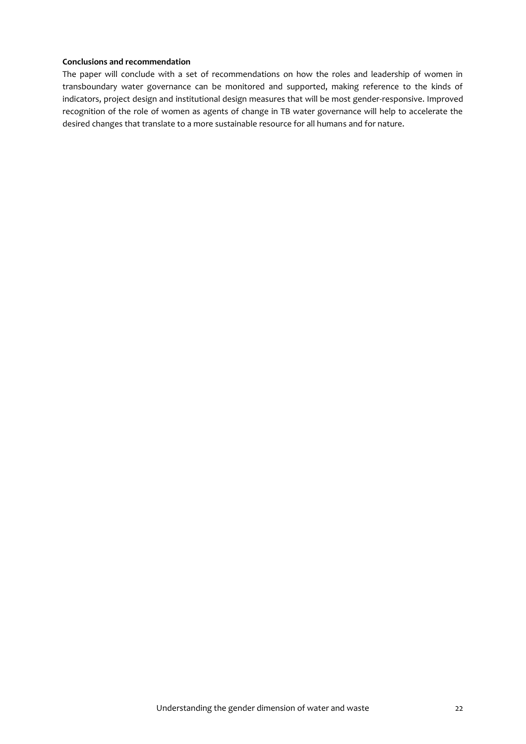The paper will conclude with a set of recommendations on how the roles and leadership of women in transboundary water governance can be monitored and supported, making reference to the kinds of indicators, project design and institutional design measures that will be most gender-responsive. Improved recognition of the role of women as agents of change in TB water governance will help to accelerate the desired changes that translate to a more sustainable resource for all humans and for nature.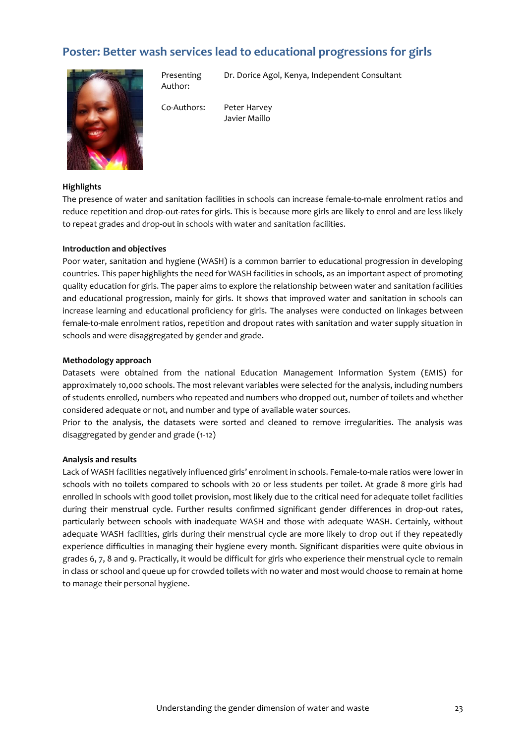## <span id="page-22-0"></span>**Poster: Better wash services lead to educational progressions for girls**



Presenting Author:

Dr. Dorice Agol, Kenya, Independent Consultant

Co-Authors: Peter Harvey Javier Maíllo

#### **Highlights**

The presence of water and sanitation facilities in schools can increase female-to-male enrolment ratios and reduce repetition and drop-out-rates for girls. This is because more girls are likely to enrol and are less likely to repeat grades and drop-out in schools with water and sanitation facilities.

#### **Introduction and objectives**

Poor water, sanitation and hygiene (WASH) is a common barrier to educational progression in developing countries. This paper highlights the need for WASH facilities in schools, as an important aspect of promoting quality education for girls. The paper aims to explore the relationship between water and sanitation facilities and educational progression, mainly for girls. It shows that improved water and sanitation in schools can increase learning and educational proficiency for girls. The analyses were conducted on linkages between female-to-male enrolment ratios, repetition and dropout rates with sanitation and water supply situation in schools and were disaggregated by gender and grade.

#### **Methodology approach**

Datasets were obtained from the national Education Management Information System (EMIS) for approximately 10,000 schools. The most relevant variables were selected for the analysis, including numbers of students enrolled, numbers who repeated and numbers who dropped out, number of toilets and whether considered adequate or not, and number and type of available water sources.

Prior to the analysis, the datasets were sorted and cleaned to remove irregularities. The analysis was disaggregated by gender and grade (1-12)

#### **Analysis and results**

Lack of WASH facilities negatively influenced girls' enrolment in schools. Female-to-male ratios were lower in schools with no toilets compared to schools with 20 or less students per toilet. At grade 8 more girls had enrolled in schools with good toilet provision, most likely due to the critical need for adequate toilet facilities during their menstrual cycle. Further results confirmed significant gender differences in drop-out rates, particularly between schools with inadequate WASH and those with adequate WASH. Certainly, without adequate WASH facilities, girls during their menstrual cycle are more likely to drop out if they repeatedly experience difficulties in managing their hygiene every month. Significant disparities were quite obvious in grades 6, 7, 8 and 9. Practically, it would be difficult for girls who experience their menstrual cycle to remain in class or school and queue up for crowded toilets with no water and most would choose to remain at home to manage their personal hygiene.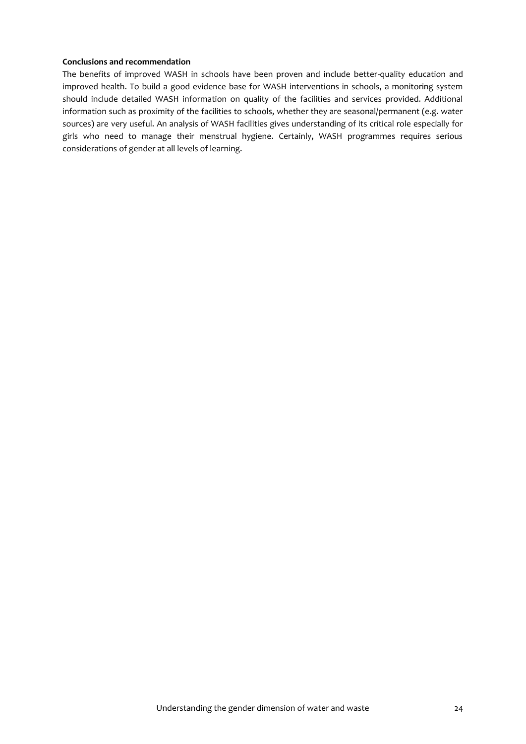The benefits of improved WASH in schools have been proven and include better-quality education and improved health. To build a good evidence base for WASH interventions in schools, a monitoring system should include detailed WASH information on quality of the facilities and services provided. Additional information such as proximity of the facilities to schools, whether they are seasonal/permanent (e.g. water sources) are very useful. An analysis of WASH facilities gives understanding of its critical role especially for girls who need to manage their menstrual hygiene. Certainly, WASH programmes requires serious considerations of gender at all levels of learning.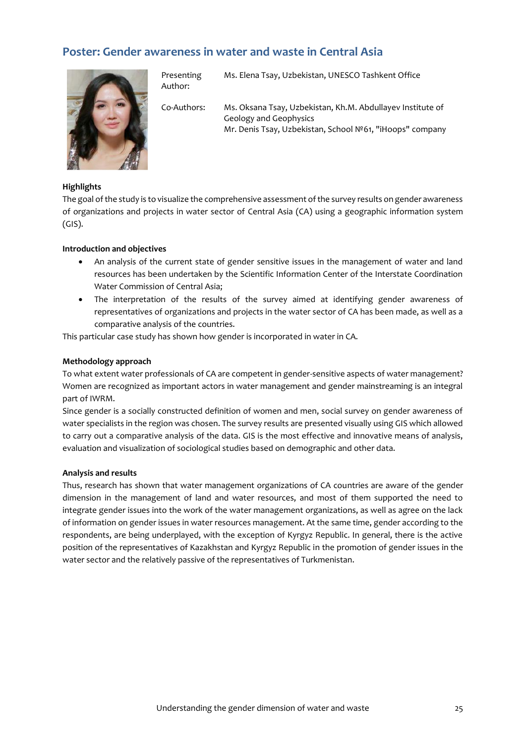## <span id="page-24-0"></span>**Poster: Gender awareness in water and waste in Central Asia**



Presenting Author: Ms. Elena Tsay, Uzbekistan, UNESCO Tashkent Office

Co-Authors: Ms. Oksana Tsay, Uzbekistan, Kh.M. Abdullayev Institute of Geology and Geophysics Mr. Denis Tsay, Uzbekistan, School №61, "iHoops" company

#### **Highlights**

The goal of the study is to visualize the comprehensive assessment of the survey results on gender awareness of organizations and projects in water sector of Central Asia (CA) using a geographic information system (GIS).

#### **Introduction and objectives**

- An analysis of the current state of gender sensitive issues in the management of water and land resources has been undertaken by the Scientific Information Center of the Interstate Coordination Water Commission of Central Asia;
- The interpretation of the results of the survey aimed at identifying gender awareness of representatives of organizations and projects in the water sector of CA has been made, as well as a comparative analysis of the countries.

This particular case study has shown how gender is incorporated in water in CA.

#### **Methodology approach**

To what extent water professionals of CA are competent in gender-sensitive aspects of water management? Women are recognized as important actors in water management and gender mainstreaming is an integral part of IWRM.

Since gender is a socially constructed definition of women and men, social survey on gender awareness of water specialists in the region was chosen. The survey results are presented visually using GIS which allowed to carry out a comparative analysis of the data. GIS is the most effective and innovative means of analysis, evaluation and visualization of sociological studies based on demographic and other data.

#### **Analysis and results**

Thus, research has shown that water management organizations of CA countries are aware of the gender dimension in the management of land and water resources, and most of them supported the need to integrate gender issues into the work of the water management organizations, as well as agree on the lack of information on gender issues in water resources management. At the same time, gender according to the respondents, are being underplayed, with the exception of Kyrgyz Republic. In general, there is the active position of the representatives of Kazakhstan and Kyrgyz Republic in the promotion of gender issues in the water sector and the relatively passive of the representatives of Turkmenistan.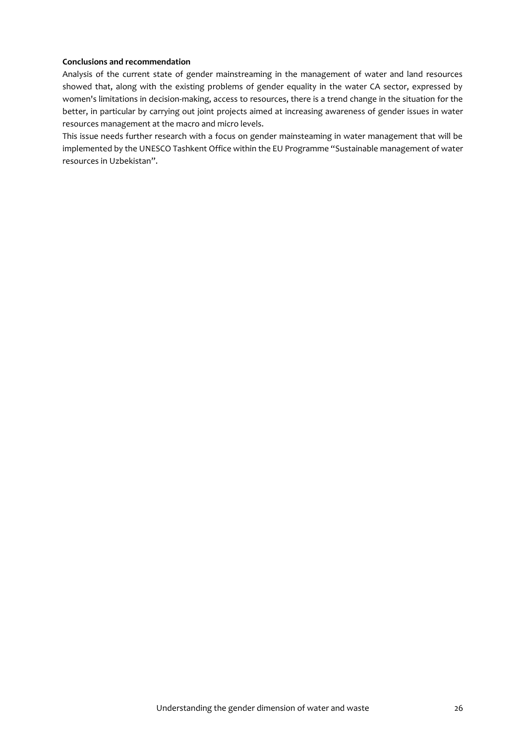Analysis of the current state of gender mainstreaming in the management of water and land resources showed that, along with the existing problems of gender equality in the water CA sector, expressed by women's limitations in decision-making, access to resources, there is a trend change in the situation for the better, in particular by carrying out joint projects aimed at increasing awareness of gender issues in water resources management at the macro and micro levels.

This issue needs further research with a focus on gender mainsteaming in water management that will be implemented by the UNESCO Tashkent Office within the EU Programme "Sustainable management of water resources in Uzbekistan".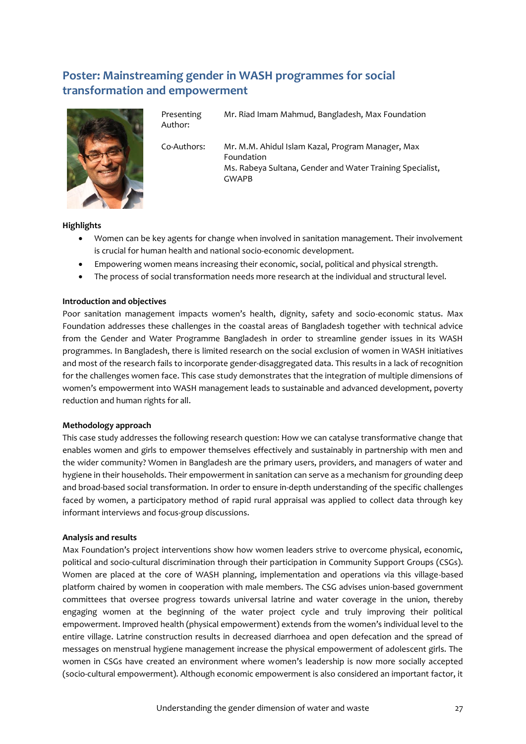# <span id="page-26-0"></span>**Poster: Mainstreaming gender in WASH programmes for social transformation and empowerment**



Presenting Author: Mr. Riad Imam Mahmud, Bangladesh, Max Foundation

Co-Authors: Mr. M.M. Ahidul Islam Kazal, Program Manager, Max Foundation Ms. Rabeya Sultana, Gender and Water Training Specialist, GWAPB

#### **Highlights**

- Women can be key agents for change when involved in sanitation management. Their involvement is crucial for human health and national socio-economic development.
- Empowering women means increasing their economic, social, political and physical strength.
- The process of social transformation needs more research at the individual and structural level.

#### **Introduction and objectives**

Poor sanitation management impacts women's health, dignity, safety and socio-economic status. Max Foundation addresses these challenges in the coastal areas of Bangladesh together with technical advice from the Gender and Water Programme Bangladesh in order to streamline gender issues in its WASH programmes. In Bangladesh, there is limited research on the social exclusion of women in WASH initiatives and most of the research fails to incorporate gender-disaggregated data. This results in a lack of recognition for the challenges women face. This case study demonstrates that the integration of multiple dimensions of women's empowerment into WASH management leads to sustainable and advanced development, poverty reduction and human rights for all.

#### **Methodology approach**

This case study addresses the following research question: How we can catalyse transformative change that enables women and girls to empower themselves effectively and sustainably in partnership with men and the wider community? Women in Bangladesh are the primary users, providers, and managers of water and hygiene in their households. Their empowerment in sanitation can serve as a mechanism for grounding deep and broad-based social transformation. In order to ensure in-depth understanding of the specific challenges faced by women, a participatory method of rapid rural appraisal was applied to collect data through key informant interviews and focus-group discussions.

#### **Analysis and results**

Max Foundation's project interventions show how women leaders strive to overcome physical, economic, political and socio-cultural discrimination through their participation in Community Support Groups (CSGs). Women are placed at the core of WASH planning, implementation and operations via this village-based platform chaired by women in cooperation with male members. The CSG advises union-based government committees that oversee progress towards universal latrine and water coverage in the union, thereby engaging women at the beginning of the water project cycle and truly improving their political empowerment. Improved health (physical empowerment) extends from the women's individual level to the entire village. Latrine construction results in decreased diarrhoea and open defecation and the spread of messages on menstrual hygiene management increase the physical empowerment of adolescent girls. The women in CSGs have created an environment where women's leadership is now more socially accepted (socio-cultural empowerment). Although economic empowerment is also considered an important factor, it